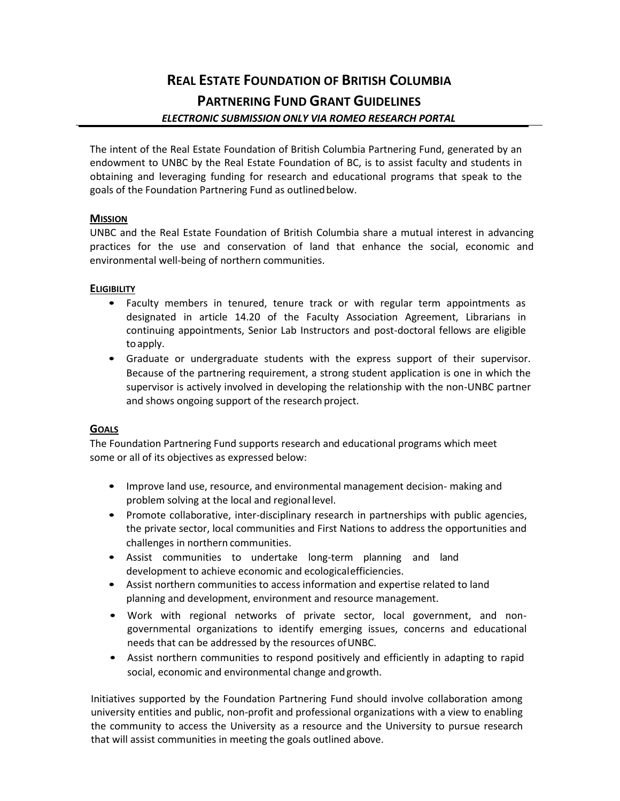The intent of the Real Estate Foundation of British Columbia Partnering Fund, generated by an endowment to UNBC by the Real Estate Foundation of BC, is to assist faculty and students in obtaining and leveraging funding for research and educational programs that speak to the goals of the Foundation Partnering Fund as outlinedbelow.

# **MISSION**

UNBC and the Real Estate Foundation of British Columbia share a mutual interest in advancing practices for the use and conservation of land that enhance the social, economic and environmental well-being of northern communities.

# **ELIGIBILITY**

- Faculty members in tenured, tenure track or with regular term appointments as designated in article 14.20 of the Faculty Association Agreement, Librarians in continuing appointments, Senior Lab Instructors and post-doctoral fellows are eligible toapply.
- Graduate or undergraduate students with the express support of their supervisor. Because of the partnering requirement, a strong student application is one in which the supervisor is actively involved in developing the relationship with the non-UNBC partner and shows ongoing support of the research project.

# **GOALS**

The Foundation Partnering Fund supports research and educational programs which meet some or all of its objectives as expressed below:

- Improve land use, resource, and environmental management decision- making and problem solving at the local and regional level.
- Promote collaborative, inter-disciplinary research in partnerships with public agencies, the private sector, local communities and First Nations to address the opportunities and challenges in northern communities.
- Assist communities to undertake long-term planning and land development to achieve economic and ecologicalefficiencies.
- Assist northern communities to access information and expertise related to land planning and development, environment and resource management.
- Work with regional networks of private sector, local government, and nongovernmental organizations to identify emerging issues, concerns and educational needs that can be addressed by the resources ofUNBC.
- Assist northern communities to respond positively and efficiently in adapting to rapid social, economic and environmental change andgrowth.

Initiatives supported by the Foundation Partnering Fund should involve collaboration among university entities and public, non-profit and professional organizations with a view to enabling the community to access the University as a resource and the University to pursue research that will assist communities in meeting the goals outlined above.